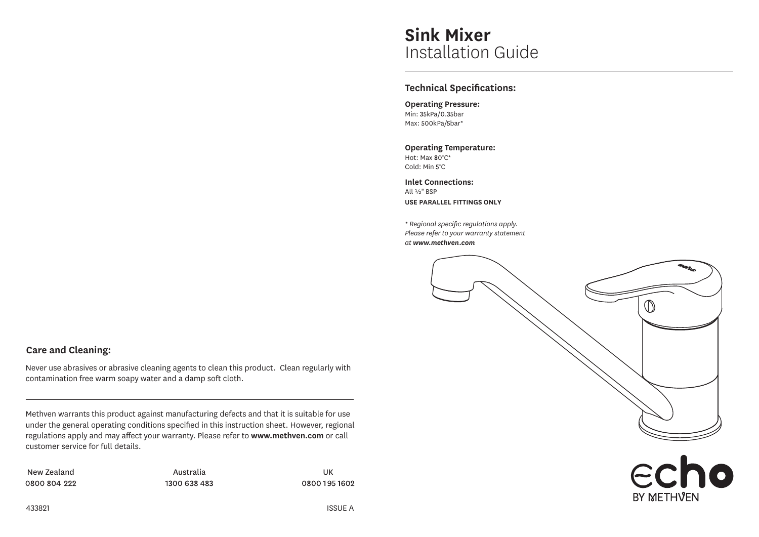# **Sink Mixer** Installation Guide

## **Technical Specifications:**

**Operating Pressure:**  $Min: 35kPa/0.35bar$ Max: 500kPa/5bar\*

**Operating Temperature:** Hot: Max 80°C\* Cold: Min 5°C

**Inlet Connections:** All ½" BSP **USE PARALLEL FITTINGS ONLY**

*\* Regional specific regulations apply. Please refer to your warranty statement at www.methven.com*



BY METHVEN

# **Care and Cleaning:**

Never use abrasives or abrasive cleaning agents to clean this product. Clean regularly with contamination free warm soapy water and a damp soft cloth.

Methven warrants this product against manufacturing defects and that it is suitable for use under the general operating conditions specified in this instruction sheet. However, regional regulations apply and may affect your warranty. Please refer to **www.methven.com** or call customer service for full details.

New Zealand and an annual Australia and the UK Australia Communistic Communistic Communistic Communistic Communistic Communistic Communistic Communistic Communistic Communistic Communistic Communistic Communistic Communist 0800 804 222

1300 638 483

0800 195 1602